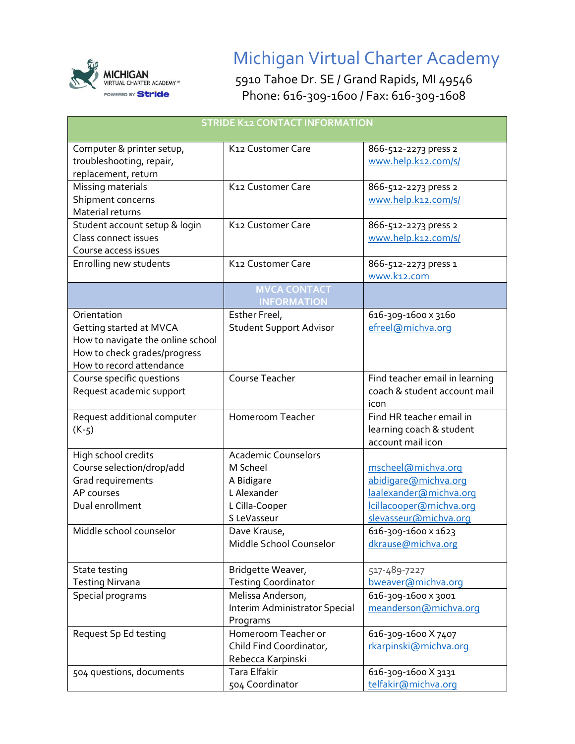

## Michigan Virtual Charter Academy

5910 Tahoe Dr. SE / Grand Rapids, MI 49546 Phone: 616-309-1600 / Fax: 616-309-1608

| <b>STRIDE K12 CONTACT INFORMATION</b>                                                                                                   |                                                                                                      |                                                                                                                          |  |
|-----------------------------------------------------------------------------------------------------------------------------------------|------------------------------------------------------------------------------------------------------|--------------------------------------------------------------------------------------------------------------------------|--|
| Computer & printer setup,<br>troubleshooting, repair,<br>replacement, return                                                            | K12 Customer Care                                                                                    | 866-512-2273 press 2<br>www.help.k12.com/s/                                                                              |  |
| Missing materials<br>Shipment concerns<br>Material returns                                                                              | K12 Customer Care                                                                                    | 866-512-2273 press 2<br>www.help.k12.com/s/                                                                              |  |
| Student account setup & login<br>Class connect issues<br>Course access issues                                                           | K12 Customer Care                                                                                    | 866-512-2273 press 2<br>www.help.k12.com/s/                                                                              |  |
| Enrolling new students                                                                                                                  | K12 Customer Care                                                                                    | 866-512-2273 press 1<br>www.k12.com                                                                                      |  |
|                                                                                                                                         | <b>MVCA CONTACT</b><br><b>INFORMATION</b>                                                            |                                                                                                                          |  |
| Orientation<br>Getting started at MVCA<br>How to navigate the online school<br>How to check grades/progress<br>How to record attendance | Esther Freel,<br><b>Student Support Advisor</b>                                                      | 616-309-1600 x 3160<br>efreel@michva.org                                                                                 |  |
| Course specific questions<br>Request academic support                                                                                   | Course Teacher                                                                                       | Find teacher email in learning<br>coach & student account mail<br>icon                                                   |  |
| Request additional computer<br>$(K-5)$                                                                                                  | Homeroom Teacher                                                                                     | Find HR teacher email in<br>learning coach & student<br>account mail icon                                                |  |
| High school credits<br>Course selection/drop/add<br>Grad requirements<br>AP courses<br>Dual enrollment                                  | <b>Academic Counselors</b><br>M Scheel<br>A Bidigare<br>L Alexander<br>L Cilla-Cooper<br>S LeVasseur | mscheel@michva.org<br>abidigare@michva.org<br>laalexander@michva.org<br>Icillacooper@michva.org<br>slevasseur@michva.org |  |
| Middle school counselor                                                                                                                 | Dave Krause,<br>Middle School Counselor                                                              | 616-309-1600 x 1623<br>dkrause@michva.org                                                                                |  |
| State testing<br><b>Testing Nirvana</b>                                                                                                 | Bridgette Weaver,<br><b>Testing Coordinator</b>                                                      | 517-489-7227<br>bweaver@michva.org                                                                                       |  |
| Special programs                                                                                                                        | Melissa Anderson,<br>Interim Administrator Special<br>Programs                                       | 616-309-1600 x 3001<br>meanderson@michva.org                                                                             |  |
| Request Sp Ed testing                                                                                                                   | Homeroom Teacher or<br>Child Find Coordinator,<br>Rebecca Karpinski                                  | 616-309-1600 X 7407<br>rkarpinski@michva.org                                                                             |  |
| 504 questions, documents                                                                                                                | <b>Tara Elfakir</b><br>504 Coordinator                                                               | 616-309-1600 X 3131<br>telfakir@michva.org                                                                               |  |